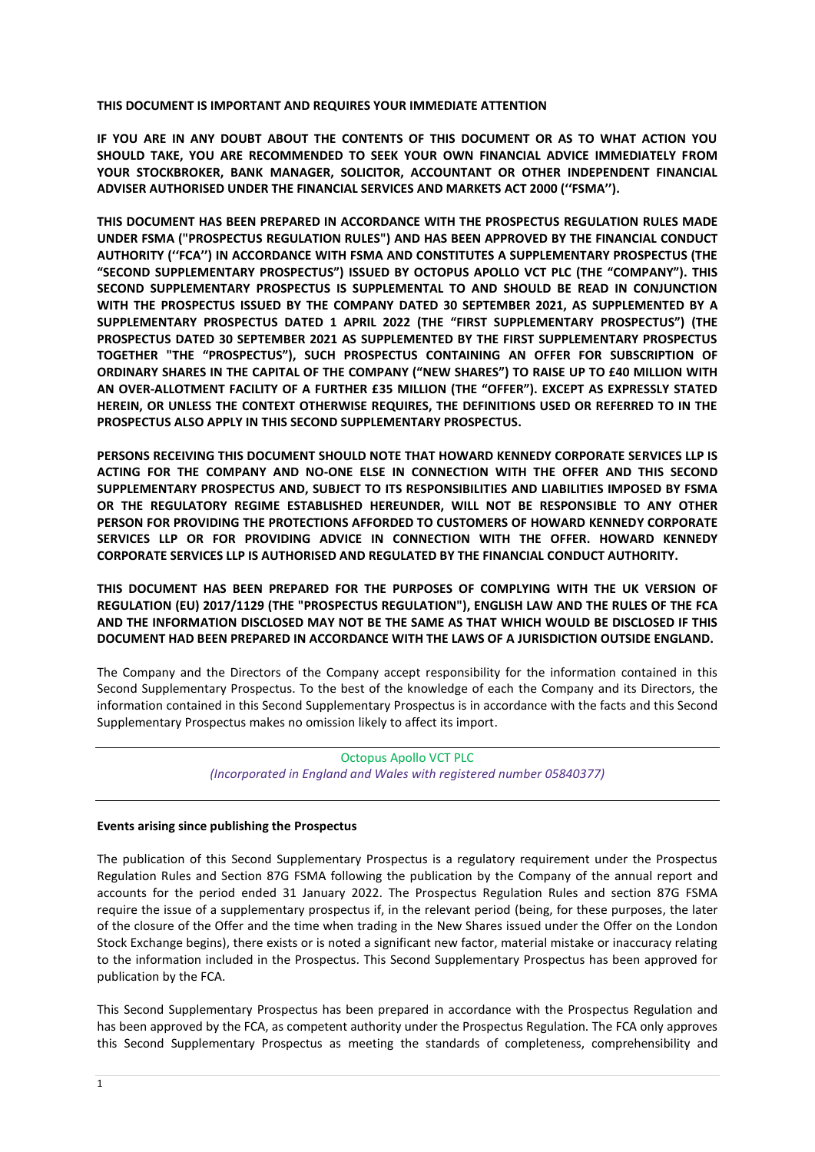#### **THIS DOCUMENT IS IMPORTANT AND REQUIRES YOUR IMMEDIATE ATTENTION**

**IF YOU ARE IN ANY DOUBT ABOUT THE CONTENTS OF THIS DOCUMENT OR AS TO WHAT ACTION YOU SHOULD TAKE, YOU ARE RECOMMENDED TO SEEK YOUR OWN FINANCIAL ADVICE IMMEDIATELY FROM YOUR STOCKBROKER, BANK MANAGER, SOLICITOR, ACCOUNTANT OR OTHER INDEPENDENT FINANCIAL ADVISER AUTHORISED UNDER THE FINANCIAL SERVICES AND MARKETS ACT 2000 (''FSMA'').**

**THIS DOCUMENT HAS BEEN PREPARED IN ACCORDANCE WITH THE PROSPECTUS REGULATION RULES MADE UNDER FSMA ("PROSPECTUS REGULATION RULES") AND HAS BEEN APPROVED BY THE FINANCIAL CONDUCT AUTHORITY (''FCA'') IN ACCORDANCE WITH FSMA AND CONSTITUTES A SUPPLEMENTARY PROSPECTUS (THE "SECOND SUPPLEMENTARY PROSPECTUS") ISSUED BY OCTOPUS APOLLO VCT PLC (THE "COMPANY"). THIS SECOND SUPPLEMENTARY PROSPECTUS IS SUPPLEMENTAL TO AND SHOULD BE READ IN CONJUNCTION WITH THE PROSPECTUS ISSUED BY THE COMPANY DATED 30 SEPTEMBER 2021, AS SUPPLEMENTED BY A SUPPLEMENTARY PROSPECTUS DATED 1 APRIL 2022 (THE "FIRST SUPPLEMENTARY PROSPECTUS") (THE PROSPECTUS DATED 30 SEPTEMBER 2021 AS SUPPLEMENTED BY THE FIRST SUPPLEMENTARY PROSPECTUS TOGETHER "THE "PROSPECTUS"), SUCH PROSPECTUS CONTAINING AN OFFER FOR SUBSCRIPTION OF ORDINARY SHARES IN THE CAPITAL OF THE COMPANY ("NEW SHARES") TO RAISE UP TO £40 MILLION WITH AN OVER-ALLOTMENT FACILITY OF A FURTHER £35 MILLION (THE "OFFER"). EXCEPT AS EXPRESSLY STATED HEREIN, OR UNLESS THE CONTEXT OTHERWISE REQUIRES, THE DEFINITIONS USED OR REFERRED TO IN THE PROSPECTUS ALSO APPLY IN THIS SECOND SUPPLEMENTARY PROSPECTUS.**

**PERSONS RECEIVING THIS DOCUMENT SHOULD NOTE THAT HOWARD KENNEDY CORPORATE SERVICES LLP IS ACTING FOR THE COMPANY AND NO-ONE ELSE IN CONNECTION WITH THE OFFER AND THIS SECOND SUPPLEMENTARY PROSPECTUS AND, SUBJECT TO ITS RESPONSIBILITIES AND LIABILITIES IMPOSED BY FSMA OR THE REGULATORY REGIME ESTABLISHED HEREUNDER, WILL NOT BE RESPONSIBLE TO ANY OTHER PERSON FOR PROVIDING THE PROTECTIONS AFFORDED TO CUSTOMERS OF HOWARD KENNEDY CORPORATE SERVICES LLP OR FOR PROVIDING ADVICE IN CONNECTION WITH THE OFFER. HOWARD KENNEDY CORPORATE SERVICES LLP IS AUTHORISED AND REGULATED BY THE FINANCIAL CONDUCT AUTHORITY.**

**THIS DOCUMENT HAS BEEN PREPARED FOR THE PURPOSES OF COMPLYING WITH THE UK VERSION OF REGULATION (EU) 2017/1129 (THE "PROSPECTUS REGULATION"), ENGLISH LAW AND THE RULES OF THE FCA AND THE INFORMATION DISCLOSED MAY NOT BE THE SAME AS THAT WHICH WOULD BE DISCLOSED IF THIS DOCUMENT HAD BEEN PREPARED IN ACCORDANCE WITH THE LAWS OF A JURISDICTION OUTSIDE ENGLAND.**

The Company and the Directors of the Company accept responsibility for the information contained in this Second Supplementary Prospectus. To the best of the knowledge of each the Company and its Directors, the information contained in this Second Supplementary Prospectus is in accordance with the facts and this Second Supplementary Prospectus makes no omission likely to affect its import.

> Octopus Apollo VCT PLC *(Incorporated in England and Wales with registered number 05840377)*

#### **Events arising since publishing the Prospectus**

The publication of this Second Supplementary Prospectus is a regulatory requirement under the Prospectus Regulation Rules and Section 87G FSMA following the publication by the Company of the annual report and accounts for the period ended 31 January 2022. The Prospectus Regulation Rules and section 87G FSMA require the issue of a supplementary prospectus if, in the relevant period (being, for these purposes, the later of the closure of the Offer and the time when trading in the New Shares issued under the Offer on the London Stock Exchange begins), there exists or is noted a significant new factor, material mistake or inaccuracy relating to the information included in the Prospectus. This Second Supplementary Prospectus has been approved for publication by the FCA.

This Second Supplementary Prospectus has been prepared in accordance with the Prospectus Regulation and has been approved by the FCA, as competent authority under the Prospectus Regulation. The FCA only approves this Second Supplementary Prospectus as meeting the standards of completeness, comprehensibility and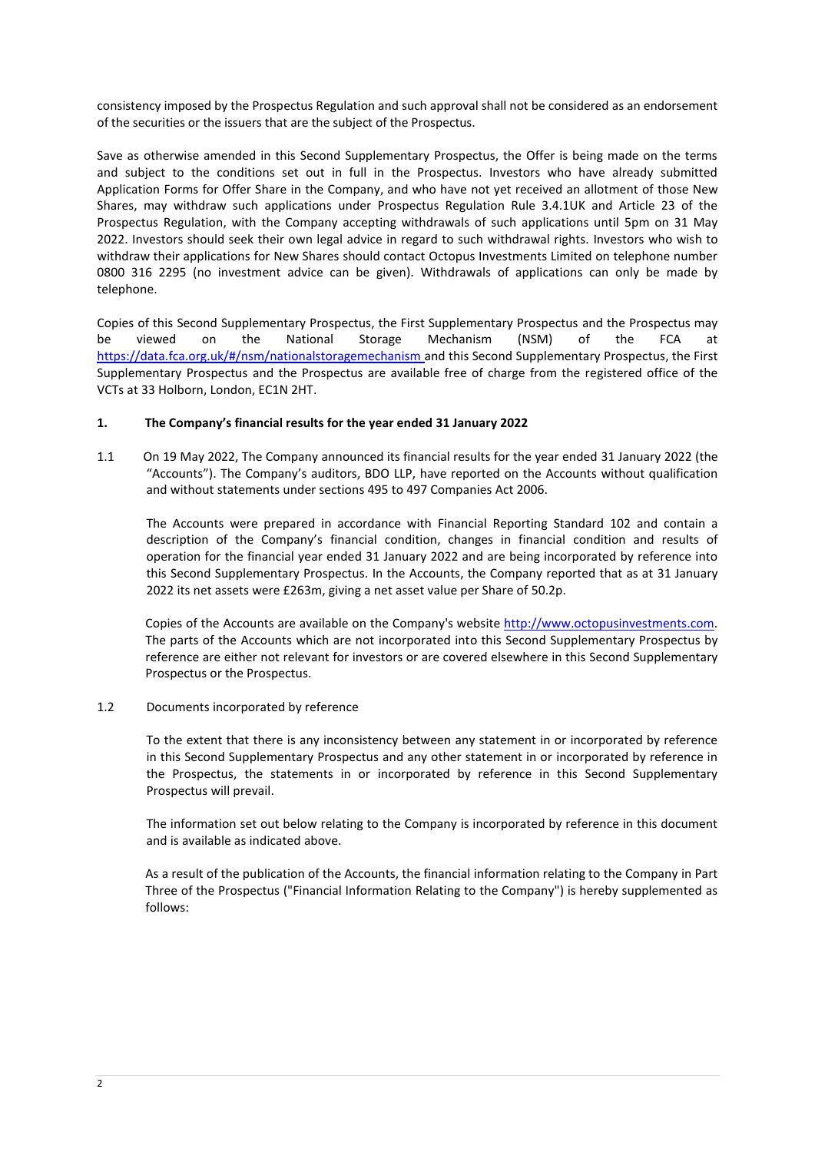consistency imposed by the Prospectus Regulation and such approval shall not be considered as an endorsement of the securities or the issuers that are the subject of the Prospectus.

Save as otherwise amended in this Second Supplementary Prospectus, the Offer is being made on the terms and subject to the conditions set out in full in the Prospectus. Investors who have already submitted Application Forms for Offer Share in the Company, and who have not yet received an allotment of those New Shares, may withdraw such applications under Prospectus Regulation Rule 3.4.1UK and Article 23 of the Prospectus Regulation, with the Company accepting withdrawals of such applications until 5pm on 31 May 2022. Investors should seek their own legal advice in regard to such withdrawal rights. Investors who wish to withdraw their applications for New Shares should contact Octopus Investments Limited on telephone number 0800 316 2295 (no investment advice can be given). Withdrawals of applications can only be made by telephone.

Copies of this Second Supplementary Prospectus, the First Supplementary Prospectus and the Prospectus may be viewed on the National Storage Mechanism (NSM) of the FCA at https://data.fca.org.uk/#/nsm/nationalstoragemechanism and this Second Supplementary Prospectus, the First Supplementary Prospectus and the Prospectus are available free of charge from the registered office of the VCTs at 33 Holborn, London, EC1N 2HT.

## **1. The Company's financial results for the year ended 31 January 2022**

1.1 On 19 May 2022, The Company announced its financial results for the year ended 31 January 2022 (the "Accounts"). The Company's auditors, BDO LLP, have reported on the Accounts without qualification and without statements under sections 495 to 497 Companies Act 2006.

The Accounts were prepared in accordance with Financial Reporting Standard 102 and contain a description of the Company's financial condition, changes in financial condition and results of operation for the financial year ended 31 January 2022 and are being incorporated by reference into this Second Supplementary Prospectus. In the Accounts, the Company reported that as at 31 January 2022 its net assets were £263m, giving a net asset value per Share of 50.2p.

Copies of the Accounts are available on the Company's website http://www.octopusinvestments.com. The parts of the Accounts which are not incorporated into this Second Supplementary Prospectus by reference are either not relevant for investors or are covered elsewhere in this Second Supplementary Prospectus or the Prospectus.

### 1.2 Documents incorporated by reference

To the extent that there is any inconsistency between any statement in or incorporated by reference in this Second Supplementary Prospectus and any other statement in or incorporated by reference in the Prospectus, the statements in or incorporated by reference in this Second Supplementary Prospectus will prevail.

The information set out below relating to the Company is incorporated by reference in this document and is available as indicated above.

As a result of the publication of the Accounts, the financial information relating to the Company in Part Three of the Prospectus ("Financial Information Relating to the Company") is hereby supplemented as follows: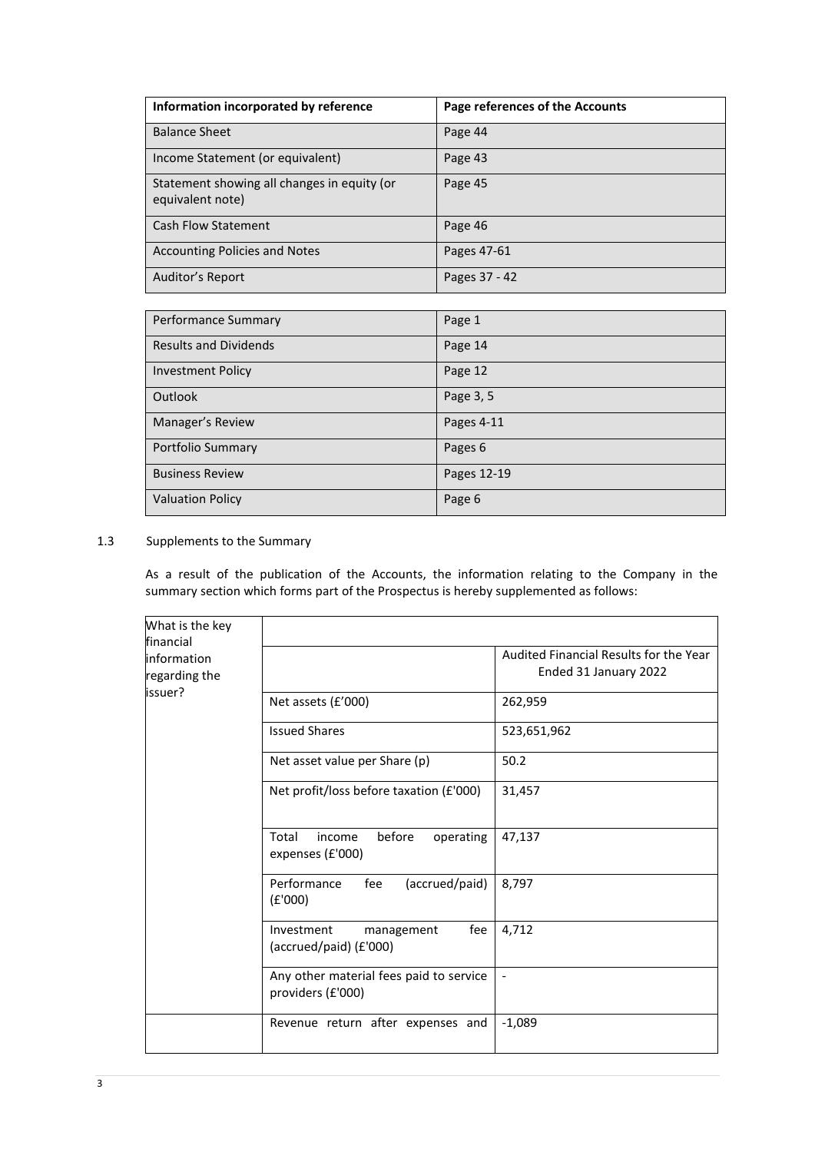| Information incorporated by reference                           | Page references of the Accounts |
|-----------------------------------------------------------------|---------------------------------|
| <b>Balance Sheet</b>                                            | Page 44                         |
| Income Statement (or equivalent)                                | Page 43                         |
| Statement showing all changes in equity (or<br>equivalent note) | Page 45                         |
| <b>Cash Flow Statement</b>                                      | Page 46                         |
| <b>Accounting Policies and Notes</b>                            | Pages 47-61                     |
| Auditor's Report                                                | Pages 37 - 42                   |

| Performance Summary          | Page 1      |
|------------------------------|-------------|
| <b>Results and Dividends</b> | Page 14     |
| <b>Investment Policy</b>     | Page 12     |
| Outlook                      | Page 3, 5   |
| Manager's Review             | Pages 4-11  |
| Portfolio Summary            | Pages 6     |
| <b>Business Review</b>       | Pages 12-19 |
| <b>Valuation Policy</b>      | Page 6      |

# 1.3 Supplements to the Summary

As a result of the publication of the Accounts, the information relating to the Company in the summary section which forms part of the Prospectus is hereby supplemented as follows:

| What is the key                                      |                                                              |                                                                 |
|------------------------------------------------------|--------------------------------------------------------------|-----------------------------------------------------------------|
| financial<br>information<br>regarding the<br>issuer? |                                                              | Audited Financial Results for the Year<br>Ended 31 January 2022 |
|                                                      | Net assets (£'000)                                           | 262,959                                                         |
|                                                      | <b>Issued Shares</b>                                         | 523,651,962                                                     |
|                                                      | Net asset value per Share (p)                                | 50.2                                                            |
|                                                      | Net profit/loss before taxation (£'000)                      | 31,457                                                          |
|                                                      | before<br>operating<br>Total<br>income<br>expenses (£'000)   | 47,137                                                          |
|                                                      | Performance<br>(accrued/paid)<br>fee<br>(E'000)              | 8,797                                                           |
|                                                      | Investment<br>fee<br>management<br>(accrued/paid) (£'000)    | 4,712                                                           |
|                                                      | Any other material fees paid to service<br>providers (£'000) |                                                                 |
|                                                      | Revenue return after expenses and                            | $-1,089$                                                        |